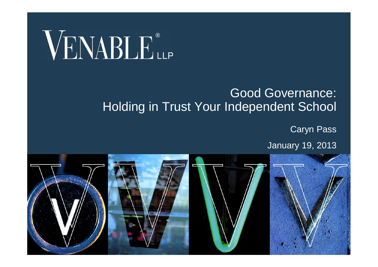# VENABLE®

#### Good Governance: Holding in Trust Your Independent School

Caryn Pass

January 19, 2013

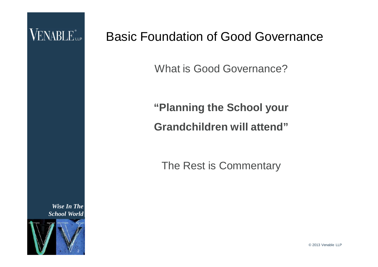

#### Basic Foundation of Good Governance

What is Good Governance?

#### **"Planning the School your Grandchildren will attend"**

The Rest is Commentary

© 2013 Venable LLP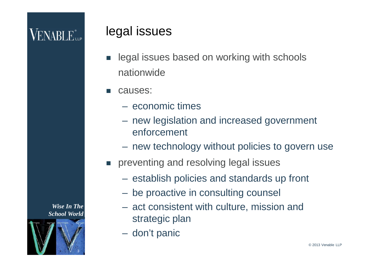### **VENABLE** <sub>LLP</sub>

3

*Wise In The School World*

#### legal issues

- legal issues based on working with schools nationwide
- causes:
	- economic times
	- new legislation and increased government enforcement
	- new technology without policies to govern use
- **Paragele 19 reventing and resolving legal issues** 
	- establish policies and standards up front
	- be proactive in consulting counsel
	- act consistent with culture, mission and strategic plan
	- don't panic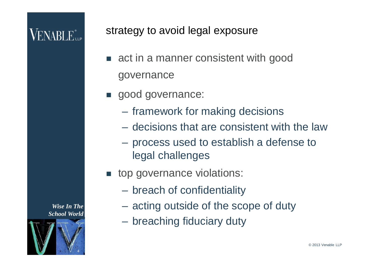### **VENABLE** <sub>LLP</sub>

strategy to avoid legal exposure

- **act in a manner consistent with good** governance
- good governance:
	- framework for making decisions
	- decisions that are consistent with the law
	- process used to establish a defense to legal challenges
- **top governance violations:** 
	- breach of confidentiality
	- acting outside of the scope of duty
	- breaching fiduciary duty

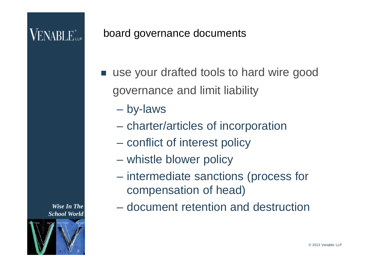#### board governance documents

- use your drafted tools to hard wire good governance and limit liability
	- by-laws
	- charter/articles of incorporation
	- conflict of interest policy
	- whistle blower policy
	- intermediate sanctions (process for compensation of head)
	- document retention and destruction

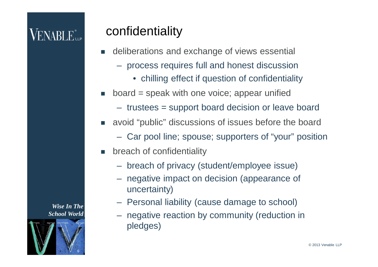#### confidentiality

- deliberations and exchange of views essential
	- process requires full and honest discussion
		- chilling effect if question of confidentiality
- board = speak with one voice; appear unified
	- trustees = support board decision or leave board
- avoid "public" discussions of issues before the board
	- Car pool line; spouse; supporters of "your" position
- breach of confidentiality
	- breach of privacy (student/employee issue)
	- negative impact on decision (appearance of uncertainty)
	- Personal liability (cause damage to school)
	- negative reaction by community (reduction in pledges)

*Wise In The School World*

6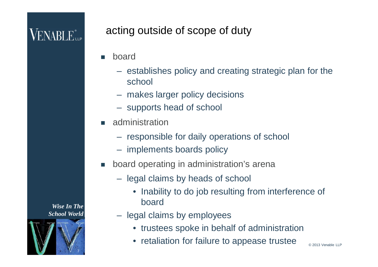#### acting outside of scope of duty

- board
	- establishes policy and creating strategic plan for the school
	- makes larger policy decisions
	- supports head of school
- administration
	- responsible for daily operations of school
	- implements boards policy
- board operating in administration's arena
	- legal claims by heads of school
		- Inability to do job resulting from interference of board

© 2013 Venable LLP

- legal claims by employees
	- trustees spoke in behalf of administration
	- retaliation for failure to appease trustee

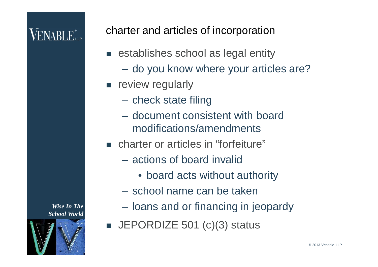charter and articles of incorporation

- establishes school as legal entity
	- do you know where your articles are?
- **F** review regularly
	- check state filing
	- document consistent with board modifications/amendments
- charter or articles in "forfeiture"
	- actions of board invalid
		- board acts without authority
	- school name can be taken
	- loans and or financing in jeopardy
- $\blacksquare$  JEPORDIZE 501 (c)(3) status

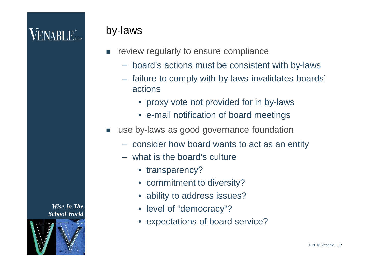#### by-laws

- review regularly to ensure compliance
	- board's actions must be consistent with by-laws
	- failure to comply with by-laws invalidates boards' actions
		- proxy vote not provided for in by-laws
		- e-mail notification of board meetings
- use by-laws as good governance foundation
	- consider how board wants to act as an entity
	- what is the board's culture
		- transparency?
		- commitment to diversity?
		- ability to address issues?
		- level of "democracy"?
		- expectations of board service?

*Wise In The School World*



© 2013 Venable LLP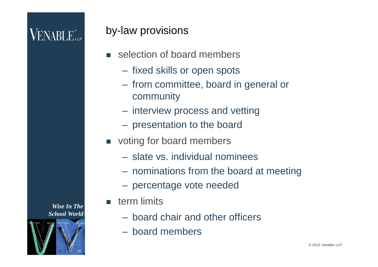#### by-law provisions

- **selection of board members** 
	- fixed skills or open spots
	- from committee, board in general or community
	- interview process and vetting
	- presentation to the board
- voting for board members
	- slate vs. individual nominees
	- nominations from the board at meeting
	- percentage vote needed
- $\blacksquare$  term limits
	- board chair and other officers
	- board members

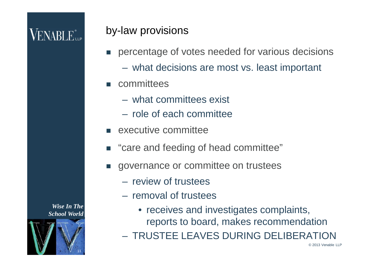#### by-law provisions

- percentage of votes needed for various decisions
	- what decisions are most vs. least important
- **n** committees
	- what committees exist
	- role of each committee
- **E** executive committee
- "care and feeding of head committee"
- governance or committee on trustees
	- review of trustees
	- removal of trustees
		- receives and investigates complaints, reports to board, makes recommendation
	- TRUSTEE LEAVES DURING DELIBERATION

© 2013 Venable LLP

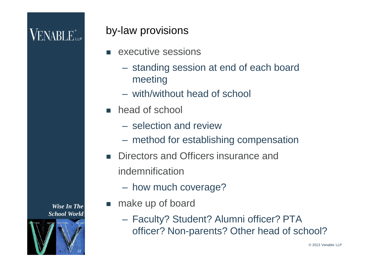### **VENABLE** <sub>LLP</sub>

#### by-law provisions

- executive sessions
	- standing session at end of each board meeting
	- with/without head of school
- **head of school** 
	- selection and review
	- method for establishing compensation
- **Directors and Officers insurance and** indemnification
	- how much coverage?
- **n** make up of board
	- Faculty? Student? Alumni officer? PTA officer? Non-parents? Other head of school?

*Wise In The School World*



© 2013 Venable LLP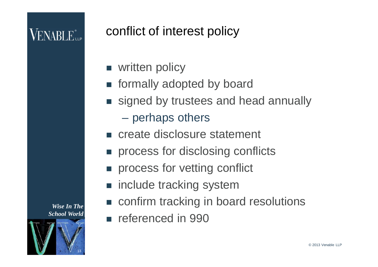### conflict of interest policy

- **Now Written policy**
- **n** formally adopted by board
- signed by trustees and head annually
	- perhaps others
- **Execute disclosure statement**
- process for disclosing conflicts
- **PEDITE:** process for vetting conflict
- include tracking system
- confirm tracking in board resolutions
- **referenced in 990**

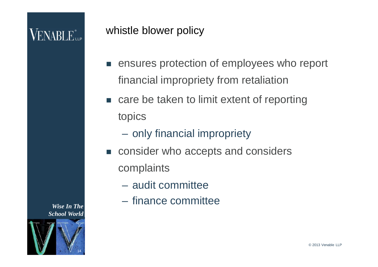#### whistle blower policy

- **EX EXECUTE:** ensures protection of employees who report financial impropriety from retaliation
- care be taken to limit extent of reporting topics
	- only financial impropriety
- consider who accepts and considers complaints
	- audit committee
	- finance committee

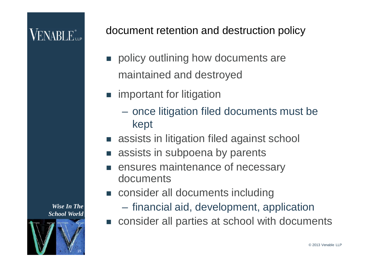document retention and destruction policy

- policy outlining how documents are maintained and destroyed
- **n** important for litigation
	- once litigation filed documents must be kept
- assists in litigation filed against school
- assists in subpoena by parents
- ensures maintenance of necessary documents
- consider all documents including
	- financial aid, development, application
- consider all parties at school with documents

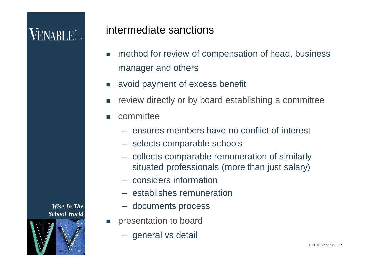### **VENABLE** <sub>Le</sub>

#### intermediate sanctions

- method for review of compensation of head, business manager and others
- avoid payment of excess benefit
- review directly or by board establishing a committee
- **n** committee
	- ensures members have no conflict of interest
	- selects comparable schools
	- collects comparable remuneration of similarly situated professionals (more than just salary)
	- considers information
	- establishes remuneration
	- documents process
- presentation to board
	- general vs detail

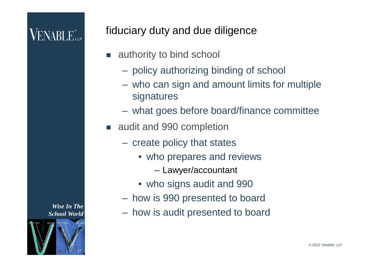#### fiduciary duty and due diligence

- authority to bind school
	- policy authorizing binding of school
	- who can sign and amount limits for multiple signatures
	- what goes before board/finance committee
- audit and 990 completion
	- create policy that states
		- who prepares and reviews
			- Lawyer/accountant
		- who signs audit and 990
	- how is 990 presented to board
	- how is audit presented to board

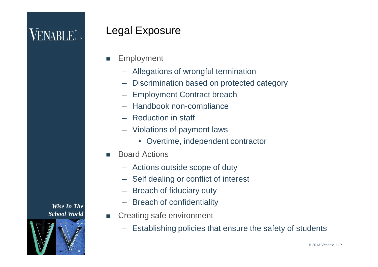#### Legal Exposure

- **Employment** 
	- Allegations of wrongful termination
	- Discrimination based on protected category
	- Employment Contract breach
	- Handbook non-compliance
	- Reduction in staff
	- Violations of payment laws
		- Overtime, independent contractor
- Board Actions
	- Actions outside scope of duty
	- Self dealing or conflict of interest
	- Breach of fiduciary duty
	- Breach of confidentiality
- **EXECTE Creating safe environment** 
	- Establishing policies that ensure the safety of students

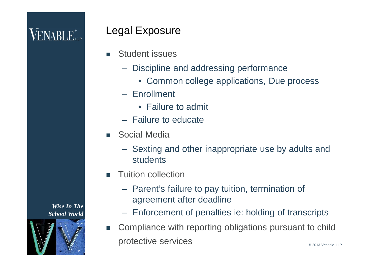#### Legal Exposure

- Student issues
	- Discipline and addressing performance
		- Common college applications, Due process
	- Enrollment
		- Failure to admit
	- Failure to educate
- Social Media
	- Sexting and other inappropriate use by adults and students
- Tuition collection
	- Parent's failure to pay tuition, termination of agreement after deadline
	- Enforcement of penalties ie: holding of transcripts
- Compliance with reporting obligations pursuant to child protective services

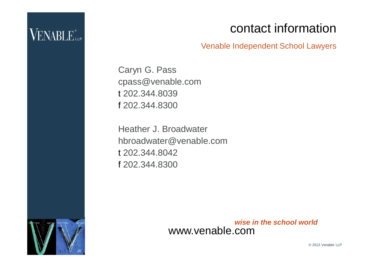#### contact information

Venable Independent School Lawyers

Caryn G. Pass cpass@venable.com t 202.344.8039 f 202.344.8300

Heather J. Broadwater hbroadwater@venable.com t 202.344.8042 f 202.344.8300



*wise in the school world* www.venable.com

© 2013 Venable LLP